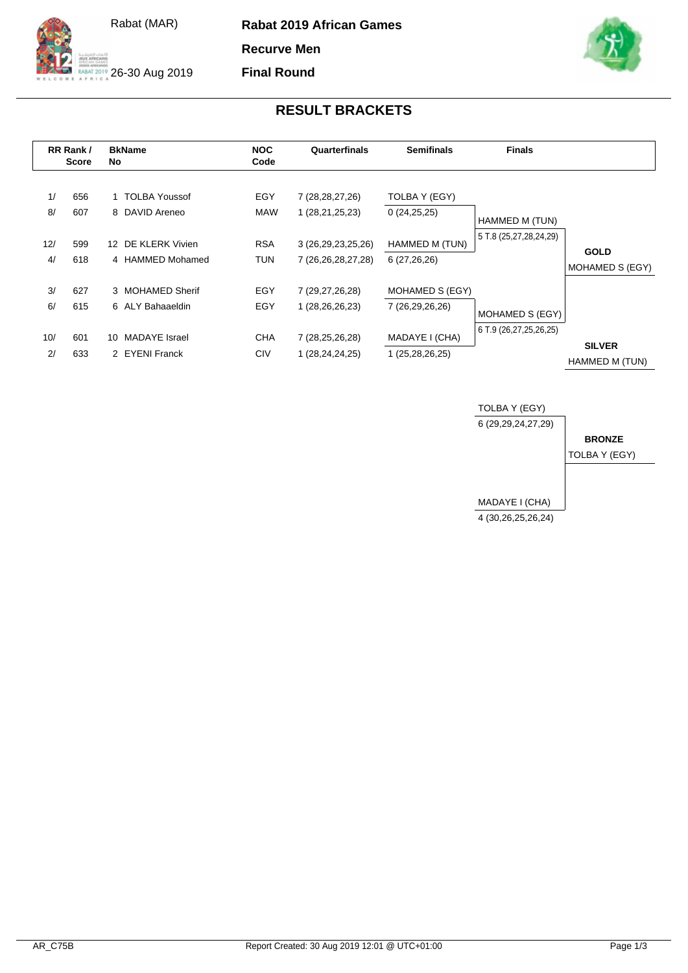

26-30 Aug 2019

**Rabat 2019 African Games**

**Recurve Men**

**Final Round**



## **RESULT BRACKETS**

|           | RR Rank/<br><b>Score</b> |                  | <b>BkName</b><br>No                    |                          | Quarterfinals                                    | <b>Semifinals</b>                  | <b>Finals</b>                                                       |                                 |
|-----------|--------------------------|------------------|----------------------------------------|--------------------------|--------------------------------------------------|------------------------------------|---------------------------------------------------------------------|---------------------------------|
| 1/<br>8/  | 656<br>607               |                  | 1 TOLBA Youssof<br>8 DAVID Areneo      | EGY<br><b>MAW</b>        | 7 (28, 28, 27, 26)<br>1 (28, 21, 25, 23)         | TOLBA Y (EGY)<br>0(24,25,25)       | HAMMED M (TUN)                                                      |                                 |
| 12/<br>4/ | 599<br>618               | 12 <sup>12</sup> | DE KLERK Vivien<br>4 HAMMED Mohamed    | <b>RSA</b><br><b>TUN</b> | 3 (26, 29, 23, 25, 26)<br>7 (26, 26, 28, 27, 28) | HAMMED M (TUN)<br>6(27,26,26)      | 5 T.8 (25,27,28,24,29)<br>MOHAMED S (EGY)<br>6 T.9 (26,27,25,26,25) | <b>GOLD</b><br>MOHAMED S (EGY)  |
| 3/<br>6/  | 627<br>615               |                  | 3 MOHAMED Sherif<br>6 ALY Bahaaeldin   | EGY<br>EGY               | 7 (29,27,26,28)<br>1 (28,26,26,23)               | MOHAMED S (EGY)<br>7 (26,29,26,26) |                                                                     | <b>SILVER</b><br>HAMMED M (TUN) |
| 10/<br>2/ | 601<br>633               | 10               | <b>MADAYE</b> Israel<br>2 EYENI Franck | <b>CHA</b><br>CIV        | 7 (28,25,26,28)<br>1 (28,24,24,25)               | MADAYE I (CHA)<br>1 (25,28,26,25)  |                                                                     |                                 |

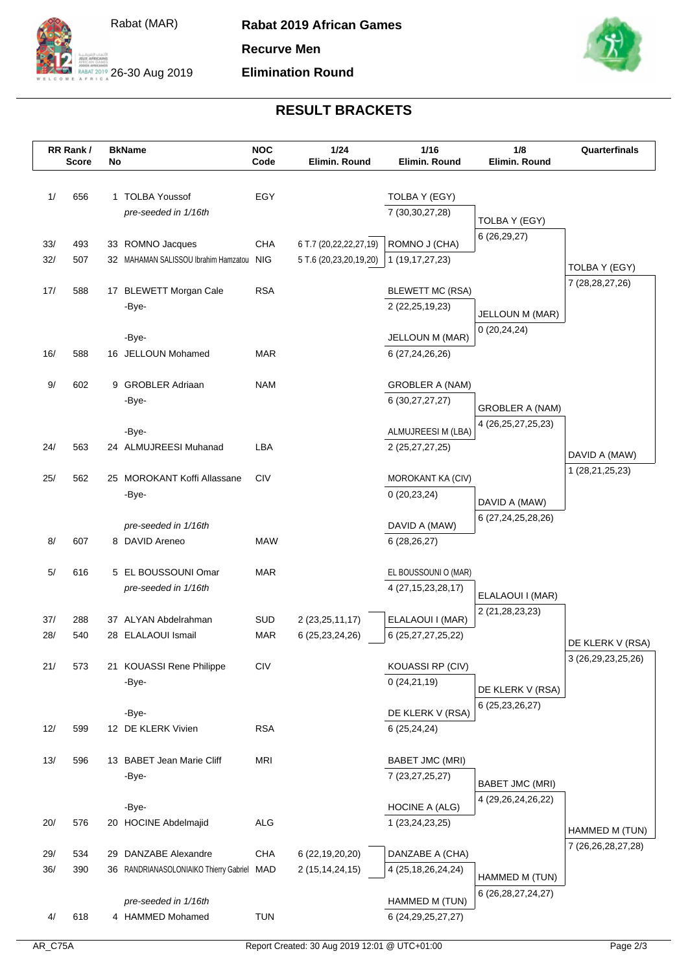



**Rabat 2019 African Games Recurve Men**

**Elimination Round**



## **RESULT BRACKETS**

|            | RR Rank/<br><b>Score</b> | No | <b>BkName</b>                                                      | <b>NOC</b><br>Code | 1/24<br>Elimin. Round                 | 1/16<br>Elimin, Round                     | 1/8<br>Elimin. Round   | Quarterfinals          |
|------------|--------------------------|----|--------------------------------------------------------------------|--------------------|---------------------------------------|-------------------------------------------|------------------------|------------------------|
|            |                          |    |                                                                    |                    |                                       |                                           |                        |                        |
| 1/         | 656                      |    | 1 TOLBA Youssof                                                    | EGY                |                                       | TOLBA Y (EGY)                             |                        |                        |
|            |                          |    | pre-seeded in 1/16th                                               |                    |                                       | 7 (30, 30, 27, 28)                        |                        |                        |
|            |                          |    |                                                                    |                    |                                       |                                           | TOLBA Y (EGY)          |                        |
| 33/        | 493                      |    | 33 ROMNO Jacques                                                   | <b>CHA</b>         | 6 T.7 (20,22,22,27,19)                | ROMNO J (CHA)                             | 6(26,29,27)            |                        |
| 32/        | 507                      |    | 32 MAHAMAN SALISSOU Ibrahim Hamzatou                               | <b>NIG</b>         | 5 T.6 (20,23,20,19,20)                | 1 (19,17,27,23)                           |                        | TOLBA Y (EGY)          |
|            |                          |    |                                                                    |                    |                                       |                                           |                        | 7 (28, 28, 27, 26)     |
| 17/        | 588                      |    | 17 BLEWETT Morgan Cale                                             | <b>RSA</b>         |                                       | <b>BLEWETT MC (RSA)</b>                   |                        |                        |
|            |                          |    | -Bye-                                                              |                    |                                       | 2 (22, 25, 19, 23)                        | JELLOUN M (MAR)        |                        |
|            |                          |    | -Bye-                                                              |                    |                                       | JELLOUN M (MAR)                           | 0(20, 24, 24)          |                        |
| 16/        | 588                      |    | 16 JELLOUN Mohamed                                                 | <b>MAR</b>         |                                       | 6 (27,24,26,26)                           |                        |                        |
|            |                          |    |                                                                    |                    |                                       |                                           |                        |                        |
| 9/         | 602                      |    | 9 GROBLER Adriaan                                                  | <b>NAM</b>         |                                       | <b>GROBLER A (NAM)</b>                    |                        |                        |
|            |                          |    | -Bye-                                                              |                    |                                       | 6 (30,27,27,27)                           | <b>GROBLER A (NAM)</b> |                        |
|            |                          |    |                                                                    |                    |                                       |                                           | 4 (26, 25, 27, 25, 23) |                        |
|            |                          |    | -Bye-                                                              |                    |                                       | ALMUJREESI M (LBA)                        |                        |                        |
| 24/        | 563                      |    | 24 ALMUJREESI Muhanad                                              | LBA                |                                       | 2 (25,27,27,25)                           |                        | DAVID A (MAW)          |
| 25/        | 562                      |    | 25 MOROKANT Koffi Allassane                                        | <b>CIV</b>         |                                       | MOROKANT KA (CIV)                         |                        | 1 (28,21,25,23)        |
|            |                          |    | -Bye-                                                              |                    |                                       | 0(20, 23, 24)                             |                        |                        |
|            |                          |    |                                                                    |                    |                                       |                                           | DAVID A (MAW)          |                        |
|            |                          |    | pre-seeded in 1/16th                                               |                    |                                       | DAVID A (MAW)                             | 6 (27,24,25,28,26)     |                        |
| 8/         | 607                      |    | 8 DAVID Areneo                                                     | <b>MAW</b>         |                                       | 6(28, 26, 27)                             |                        |                        |
|            |                          |    |                                                                    |                    |                                       |                                           |                        |                        |
| 5/         | 616                      |    | 5 EL BOUSSOUNI Omar                                                | <b>MAR</b>         |                                       | EL BOUSSOUNI O (MAR)                      |                        |                        |
|            |                          |    | pre-seeded in 1/16th                                               |                    |                                       | 4 (27, 15, 23, 28, 17)                    | ELALAOUI I (MAR)       |                        |
| 37/        | 288                      |    | 37 ALYAN Abdelrahman                                               | SUD                | 2 (23, 25, 11, 17)                    | ELALAOUI I (MAR)                          | 2 (21, 28, 23, 23)     |                        |
| 28/        | 540                      |    | 28 ELALAOUI Ismail                                                 | <b>MAR</b>         | 6 (25, 23, 24, 26)                    | 6 (25, 27, 27, 25, 22)                    |                        |                        |
|            |                          |    |                                                                    |                    |                                       |                                           |                        | DE KLERK V (RSA)       |
| 21/        | 573                      |    | 21 KOUASSI Rene Philippe                                           | <b>CIV</b>         |                                       | KOUASSI RP (CIV)                          |                        | 3 (26,29,23,25,26)     |
|            |                          |    | -Bye-                                                              |                    |                                       | 0(24,21,19)                               | DE KLERK V (RSA)       |                        |
|            |                          |    |                                                                    |                    |                                       |                                           | 6 (25, 23, 26, 27)     |                        |
|            |                          |    | -Bye-                                                              |                    |                                       | DE KLERK V (RSA)                          |                        |                        |
| 12/        | 599                      |    | 12 DE KLERK Vivien                                                 | <b>RSA</b>         |                                       | 6(25, 24, 24)                             |                        |                        |
| 13/        | 596                      |    | 13 BABET Jean Marie Cliff                                          | MRI                |                                       | <b>BABET JMC (MRI)</b>                    |                        |                        |
|            |                          |    | -Bye-                                                              |                    |                                       | 7 (23, 27, 25, 27)                        |                        |                        |
|            |                          |    |                                                                    |                    |                                       |                                           | <b>BABET JMC (MRI)</b> |                        |
|            |                          |    | -Bye-                                                              |                    |                                       | <b>HOCINE A (ALG)</b>                     | 4 (29, 26, 24, 26, 22) |                        |
| 20/        | 576                      |    | 20 HOCINE Abdelmajid                                               | <b>ALG</b>         |                                       | 1 (23,24,23,25)                           |                        | HAMMED M (TUN)         |
|            |                          |    |                                                                    |                    |                                       |                                           |                        | 7 (26, 26, 28, 27, 28) |
| 29/<br>36/ | 534<br>390               |    | 29 DANZABE Alexandre<br>36 RANDRIANASOLONIAIKO Thierry Gabriel MAD | <b>CHA</b>         | 6 (22,19,20,20)<br>2 (15, 14, 24, 15) | DANZABE A (CHA)<br>4 (25, 18, 26, 24, 24) |                        |                        |
|            |                          |    |                                                                    |                    |                                       |                                           | HAMMED M (TUN)         |                        |
|            |                          |    | pre-seeded in 1/16th                                               |                    |                                       | HAMMED M (TUN)                            | 6 (26, 28, 27, 24, 27) |                        |
| 4/         | 618                      |    | 4 HAMMED Mohamed                                                   | <b>TUN</b>         |                                       | 6 (24, 29, 25, 27, 27)                    |                        |                        |